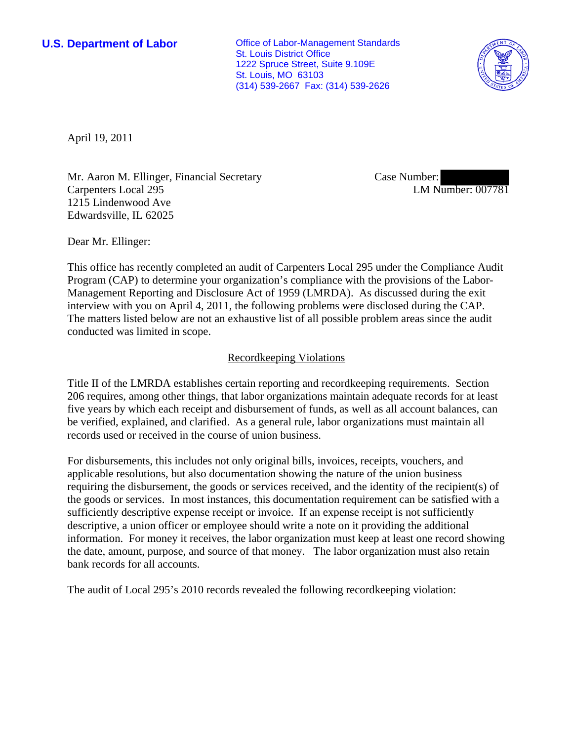**U.S. Department of Labor Conservative Conservative Conservative Conservative Conservative Conservative Conservative Conservative Conservative Conservative Conservative Conservative Conservative Conservative Conservative** St. Louis District Office 1222 Spruce Street, Suite 9.109E St. Louis, MO 63103 (314) 539-2667 Fax: (314) 539-2626



April 19, 2011

Mr. Aaron M. Ellinger, Financial Secretary Carpenters Local 295 1215 Lindenwood Ave Edwardsville, IL 62025

Case Number: LM Number: 007781

Dear Mr. Ellinger:

This office has recently completed an audit of Carpenters Local 295 under the Compliance Audit Program (CAP) to determine your organization's compliance with the provisions of the Labor-Management Reporting and Disclosure Act of 1959 (LMRDA). As discussed during the exit interview with you on April 4, 2011, the following problems were disclosed during the CAP. The matters listed below are not an exhaustive list of all possible problem areas since the audit conducted was limited in scope.

## Recordkeeping Violations

Title II of the LMRDA establishes certain reporting and recordkeeping requirements. Section 206 requires, among other things, that labor organizations maintain adequate records for at least five years by which each receipt and disbursement of funds, as well as all account balances, can be verified, explained, and clarified. As a general rule, labor organizations must maintain all records used or received in the course of union business.

For disbursements, this includes not only original bills, invoices, receipts, vouchers, and applicable resolutions, but also documentation showing the nature of the union business requiring the disbursement, the goods or services received, and the identity of the recipient(s) of the goods or services. In most instances, this documentation requirement can be satisfied with a sufficiently descriptive expense receipt or invoice. If an expense receipt is not sufficiently descriptive, a union officer or employee should write a note on it providing the additional information. For money it receives, the labor organization must keep at least one record showing the date, amount, purpose, and source of that money. The labor organization must also retain bank records for all accounts.

The audit of Local 295's 2010 records revealed the following recordkeeping violation: